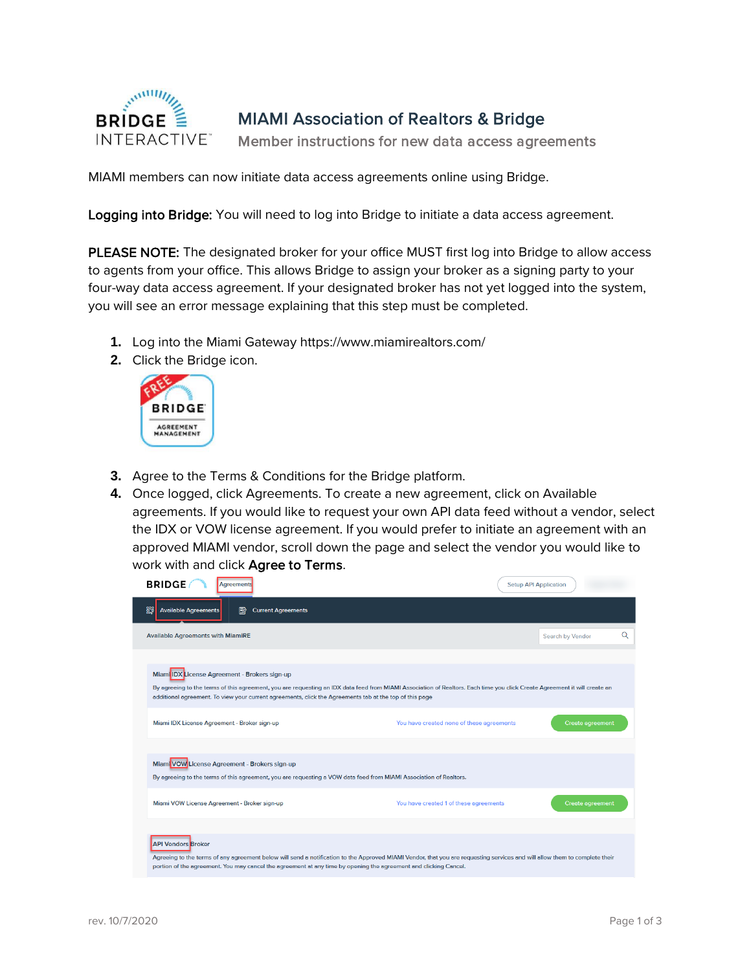

## MIAMI Association of Realtors & Bridge

Member instructions for new data access agreements

MIAMI members can now initiate data access agreements online using Bridge.

Logging into Bridge: You will need to log into Bridge to initiate a data access agreement.

PLEASE NOTE: The designated broker for your office MUST first log into Bridge to allow access to agents from your office. This allows Bridge to assign your broker as a signing party to your four-way data access agreement. If your designated broker has not yet logged into the system, you will see an error message explaining that this step must be completed.

- **1.** Log into the Miami Gateway https://www.miamirealtors.com/
- **2.** Click the Bridge icon.



- **3.** Agree to the Terms & Conditions for the Bridge platform.
- **4.** Once logged, click Agreements. To create a new agreement, click on Available agreements. If you would like to request your own API data feed without a vendor, select the IDX or VOW license agreement. If you would prefer to initiate an agreement with an approved MIAMI vendor, scroll down the page and select the vendor you would like to work with and click Agree to Terms.

| <b>BRIDGE</b><br><b>Agreements</b>                                                                                                                                                                                                                                                                                                     |                                           | <b>Setup API Application</b> |
|----------------------------------------------------------------------------------------------------------------------------------------------------------------------------------------------------------------------------------------------------------------------------------------------------------------------------------------|-------------------------------------------|------------------------------|
| %<br><b>Available Agreements</b><br>℞<br><b>Current Agreements</b>                                                                                                                                                                                                                                                                     |                                           |                              |
| <b>Available Agreements with MiamiRE</b>                                                                                                                                                                                                                                                                                               |                                           | Q<br>Search by Vendor        |
| Miami IDX License Agreement - Brokers sign-up<br>By agreeing to the terms of this agreement, you are requesting an IDX data feed from MIAMI Association of Realtors. Each time you click Create Agreement it will create an<br>additional agreement. To view your current agreements, click the Agreements tab at the top of this page |                                           |                              |
| Miami IDX License Agreement - Broker sign-up                                                                                                                                                                                                                                                                                           | You have created none of these agreements | <b>Create agreement</b>      |
| Miami VOW License Agreement - Brokers sign-up<br>By agreeing to the terms of this agreement, you are requesting a VOW data feed from MIAMI Association of Realtors.<br>Miami VOW License Agreement - Broker sign-up                                                                                                                    | You have created 1 of these agreements    | <b>Create agreement</b>      |
| <b>API Vendors Broker</b>                                                                                                                                                                                                                                                                                                              |                                           |                              |
| Agreeing to the terms of any agreement below will send a notification to the Approved MIAMI Vendor, that you are requesting services and will allow them to complete their<br>portion of the agreement. You may cancel the agreement at any time by opening the agreement and clicking Cancel.                                         |                                           |                              |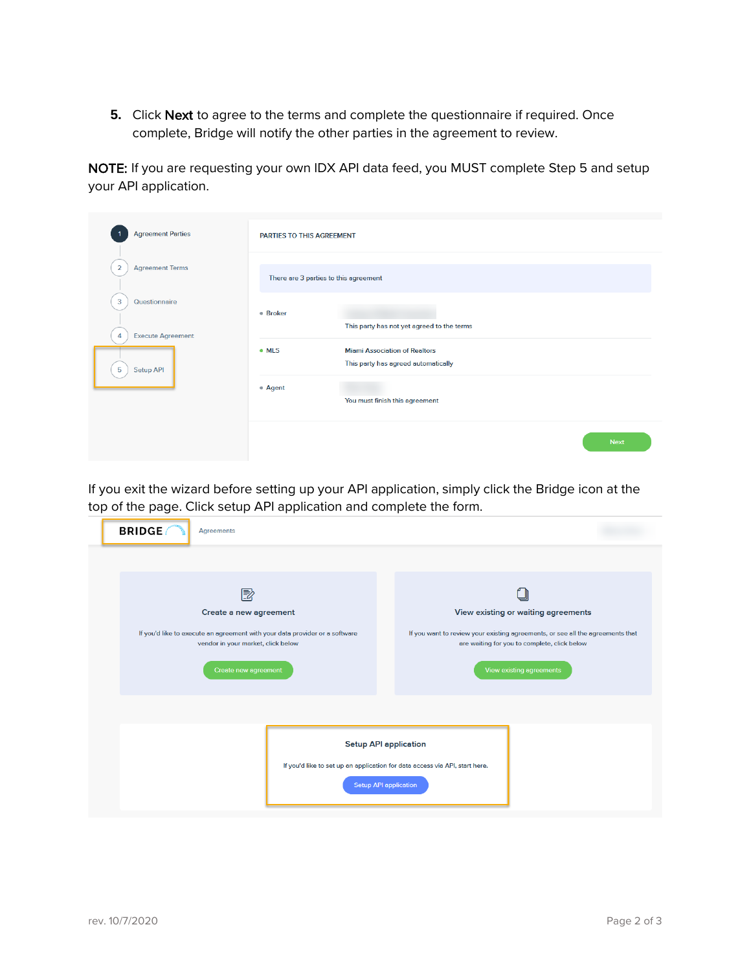**5.** Click Next to agree to the terms and complete the questionnaire if required. Once complete, Bridge will notify the other parties in the agreement to review.

NOTE: If you are requesting your own IDX API data feed, you MUST complete Step 5 and setup your API application.

| <b>Agreement Parties</b>                                                             | PARTIES TO THIS AGREEMENT             |                                                                             |
|--------------------------------------------------------------------------------------|---------------------------------------|-----------------------------------------------------------------------------|
| $\overline{2}$<br><b>Agreement Terms</b>                                             | There are 3 parties to this agreement |                                                                             |
| $\overline{\mathbf{3}}$<br>Questionnaire<br><b>Execute Agreement</b><br>$\mathbf{A}$ | · Broker                              | This party has not yet agreed to the terms                                  |
| Setup API<br>5                                                                       | · MLS                                 | <b>Miami Association of Realtors</b><br>This party has agreed automatically |
|                                                                                      | • Agent                               | You must finish this agreement                                              |
|                                                                                      |                                       | <b>Next</b>                                                                 |

If you exit the wizard before setting up your API application, simply click the Bridge icon at the top of the page. Click setup API application and complete the form.

| <b>BRIDGE</b><br><b>Agreements</b>                                                                                                                                       |  |                                                                                                                                                                                                   |  |
|--------------------------------------------------------------------------------------------------------------------------------------------------------------------------|--|---------------------------------------------------------------------------------------------------------------------------------------------------------------------------------------------------|--|
|                                                                                                                                                                          |  |                                                                                                                                                                                                   |  |
| 國<br>Create a new agreement<br>If you'd like to execute an agreement with your data provider or a software<br>vendor in your market, click below<br>Create new agreement |  | View existing or waiting agreements<br>If you want to review your existing agreements, or see all the agreements that<br>are waiting for you to complete, click below<br>View existing agreements |  |
| <b>Setup API application</b><br>If you'd like to set up an application for data access via API, start here.<br><b>Setup API application</b>                              |  |                                                                                                                                                                                                   |  |